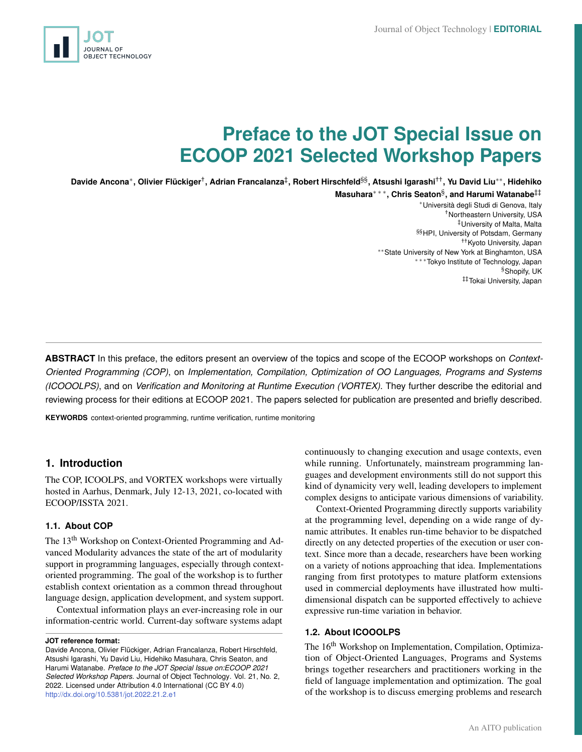

# **Preface to the JOT Special Issue on ECOOP 2021 Selected Workshop Papers**

**Davide Ancona**<sup>∗</sup> **, Olivier Flückiger**† **, Adrian Francalanza**‡ **, Robert Hirschfeld**§§ **, Atsushi Igarashi**†† **, Yu David Liu**∗∗ **, Hidehiko**

**Masuhara**∗ ∗ ∗ **, Chris Seaton**§ **, and Harumi Watanabe**‡‡

<sup>∗</sup>Università degli Studi di Genova, Italy †Northeastern University, USA ‡University of Malta, Malta §§HPI, University of Potsdam, Germany ††Kyoto University, Japan ∗∗State University of New York at Binghamton, USA ∗ ∗ ∗Tokyo Institute of Technology, Japan §Shopify, UK ‡‡Tokai University, Japan

**ABSTRACT** In this preface, the editors present an overview of the topics and scope of the ECOOP workshops on *Context-Oriented Programming (COP)*, on *Implementation, Compilation, Optimization of OO Languages, Programs and Systems (ICOOOLPS)*, and on *Verification and Monitoring at Runtime Execution (VORTEX)*. They further describe the editorial and reviewing process for their editions at ECOOP 2021. The papers selected for publication are presented and briefly described.

**KEYWORDS** context-oriented programming, runtime verification, runtime monitoring

# **1. Introduction**

The COP, ICOOLPS, and VORTEX workshops were virtually hosted in Aarhus, Denmark, July 12-13, 2021, co-located with ECOOP/ISSTA 2021.

#### **1.1. About COP**

The 13<sup>th</sup> Workshop on Context-Oriented Programming and Advanced Modularity advances the state of the art of modularity support in programming languages, especially through contextoriented programming. The goal of the workshop is to further establish context orientation as a common thread throughout language design, application development, and system support.

Contextual information plays an ever-increasing role in our information-centric world. Current-day software systems adapt

#### **JOT reference format:**

Davide Ancona, Olivier Flückiger, Adrian Francalanza, Robert Hirschfeld, Atsushi Igarashi, Yu David Liu, Hidehiko Masuhara, Chris Seaton, and Harumi Watanabe. *Preface to the JOT Special Issue on:ECOOP 2021 Selected Workshop Papers*. Journal of Object Technology. Vol. 21, No. 2, 2022. Licensed under Attribution 4.0 International (CC BY 4.0) <http://dx.doi.org/10.5381/jot.2022.21.2.e1>

continuously to changing execution and usage contexts, even while running. Unfortunately, mainstream programming languages and development environments still do not support this kind of dynamicity very well, leading developers to implement complex designs to anticipate various dimensions of variability.

Context-Oriented Programming directly supports variability at the programming level, depending on a wide range of dynamic attributes. It enables run-time behavior to be dispatched directly on any detected properties of the execution or user context. Since more than a decade, researchers have been working on a variety of notions approaching that idea. Implementations ranging from first prototypes to mature platform extensions used in commercial deployments have illustrated how multidimensional dispatch can be supported effectively to achieve expressive run-time variation in behavior.

## **1.2. About ICOOOLPS**

The 16<sup>th</sup> Workshop on Implementation, Compilation, Optimization of Object-Oriented Languages, Programs and Systems brings together researchers and practitioners working in the field of language implementation and optimization. The goal of the workshop is to discuss emerging problems and research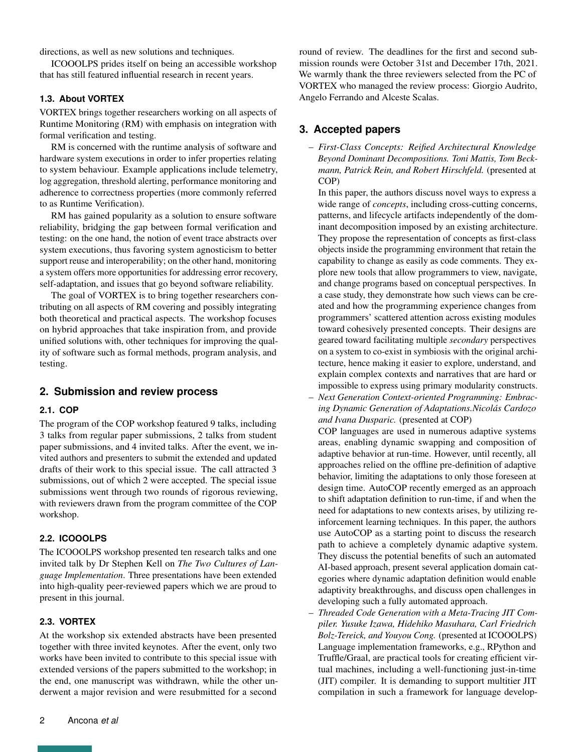directions, as well as new solutions and techniques.

ICOOOLPS prides itself on being an accessible workshop that has still featured influential research in recent years.

#### **1.3. About VORTEX**

VORTEX brings together researchers working on all aspects of Runtime Monitoring (RM) with emphasis on integration with formal verification and testing.

RM is concerned with the runtime analysis of software and hardware system executions in order to infer properties relating to system behaviour. Example applications include telemetry, log aggregation, threshold alerting, performance monitoring and adherence to correctness properties (more commonly referred to as Runtime Verification).

RM has gained popularity as a solution to ensure software reliability, bridging the gap between formal verification and testing: on the one hand, the notion of event trace abstracts over system executions, thus favoring system agnosticism to better support reuse and interoperability; on the other hand, monitoring a system offers more opportunities for addressing error recovery, self-adaptation, and issues that go beyond software reliability.

The goal of VORTEX is to bring together researchers contributing on all aspects of RM covering and possibly integrating both theoretical and practical aspects. The workshop focuses on hybrid approaches that take inspiration from, and provide unified solutions with, other techniques for improving the quality of software such as formal methods, program analysis, and testing.

# **2. Submission and review process**

### **2.1. COP**

The program of the COP workshop featured 9 talks, including 3 talks from regular paper submissions, 2 talks from student paper submissions, and 4 invited talks. After the event, we invited authors and presenters to submit the extended and updated drafts of their work to this special issue. The call attracted 3 submissions, out of which 2 were accepted. The special issue submissions went through two rounds of rigorous reviewing, with reviewers drawn from the program committee of the COP workshop.

#### **2.2. ICOOOLPS**

The ICOOOLPS workshop presented ten research talks and one invited talk by Dr Stephen Kell on *The Two Cultures of Language Implementation*. Three presentations have been extended into high-quality peer-reviewed papers which we are proud to present in this journal.

#### **2.3. VORTEX**

At the workshop six extended abstracts have been presented together with three invited keynotes. After the event, only two works have been invited to contribute to this special issue with extended versions of the papers submitted to the workshop; in the end, one manuscript was withdrawn, while the other underwent a major revision and were resubmitted for a second

round of review. The deadlines for the first and second submission rounds were October 31st and December 17th, 2021. We warmly thank the three reviewers selected from the PC of VORTEX who managed the review process: Giorgio Audrito, Angelo Ferrando and Alceste Scalas.

# **3. Accepted papers**

– *First-Class Concepts: Reified Architectural Knowledge Beyond Dominant Decompositions. Toni Mattis, Tom Beckmann, Patrick Rein, and Robert Hirschfeld.* (presented at COP)

In this paper, the authors discuss novel ways to express a wide range of *concepts*, including cross-cutting concerns, patterns, and lifecycle artifacts independently of the dominant decomposition imposed by an existing architecture. They propose the representation of concepts as first-class objects inside the programming environment that retain the capability to change as easily as code comments. They explore new tools that allow programmers to view, navigate, and change programs based on conceptual perspectives. In a case study, they demonstrate how such views can be created and how the programming experience changes from programmers' scattered attention across existing modules toward cohesively presented concepts. Their designs are geared toward facilitating multiple *secondary* perspectives on a system to co-exist in symbiosis with the original architecture, hence making it easier to explore, understand, and explain complex contexts and narratives that are hard or impossible to express using primary modularity constructs.

– *Next Generation Context-oriented Programming: Embracing Dynamic Generation of Adaptations.Nicolás Cardozo and Ivana Dusparic.* (presented at COP)

COP languages are used in numerous adaptive systems areas, enabling dynamic swapping and composition of adaptive behavior at run-time. However, until recently, all approaches relied on the offline pre-definition of adaptive behavior, limiting the adaptations to only those foreseen at design time. AutoCOP recently emerged as an approach to shift adaptation definition to run-time, if and when the need for adaptations to new contexts arises, by utilizing reinforcement learning techniques. In this paper, the authors use AutoCOP as a starting point to discuss the research path to achieve a completely dynamic adaptive system. They discuss the potential benefits of such an automated AI-based approach, present several application domain categories where dynamic adaptation definition would enable adaptivity breakthroughs, and discuss open challenges in developing such a fully automated approach.

– *Threaded Code Generation with a Meta-Tracing JIT Compiler. Yusuke Izawa, Hidehiko Masuhara, Carl Friedrich Bolz-Tereick, and Youyou Cong.* (presented at ICOOOLPS) Language implementation frameworks, e.g., RPython and Truffle/Graal, are practical tools for creating efficient virtual machines, including a well-functioning just-in-time (JIT) compiler. It is demanding to support multitier JIT compilation in such a framework for language develop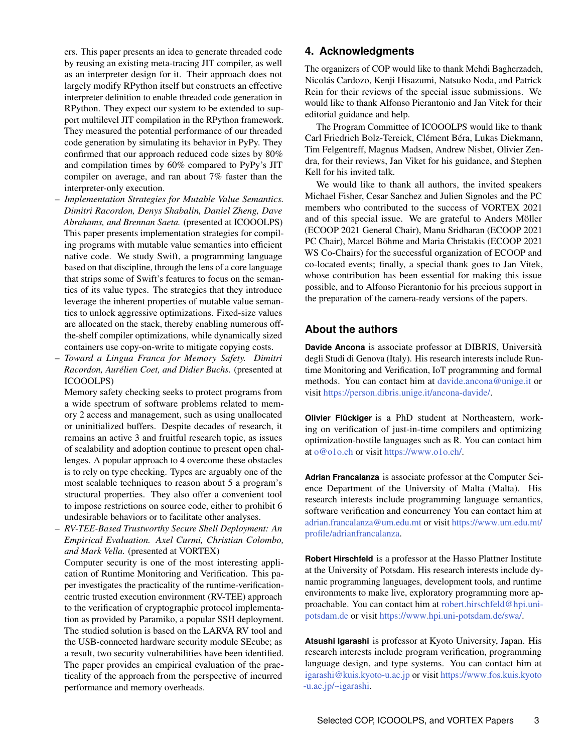ers. This paper presents an idea to generate threaded code by reusing an existing meta-tracing JIT compiler, as well as an interpreter design for it. Their approach does not largely modify RPython itself but constructs an effective interpreter definition to enable threaded code generation in RPython. They expect our system to be extended to support multilevel JIT compilation in the RPython framework. They measured the potential performance of our threaded code generation by simulating its behavior in PyPy. They confirmed that our approach reduced code sizes by 80% and compilation times by 60% compared to PyPy's JIT compiler on average, and ran about 7% faster than the interpreter-only execution.

- *Implementation Strategies for Mutable Value Semantics. Dimitri Racordon, Denys Shabalin, Daniel Zheng, Dave Abrahams, and Brennan Saeta.* (presented at ICOOOLPS) This paper presents implementation strategies for compiling programs with mutable value semantics into efficient native code. We study Swift, a programming language based on that discipline, through the lens of a core language that strips some of Swift's features to focus on the semantics of its value types. The strategies that they introduce leverage the inherent properties of mutable value semantics to unlock aggressive optimizations. Fixed-size values are allocated on the stack, thereby enabling numerous offthe-shelf compiler optimizations, while dynamically sized containers use copy-on-write to mitigate copying costs.
- *Toward a Lingua Franca for Memory Safety. Dimitri Racordon, Aurélien Coet, and Didier Buchs.* (presented at ICOOOLPS)

Memory safety checking seeks to protect programs from a wide spectrum of software problems related to memory 2 access and management, such as using unallocated or uninitialized buffers. Despite decades of research, it remains an active 3 and fruitful research topic, as issues of scalability and adoption continue to present open challenges. A popular approach to 4 overcome these obstacles is to rely on type checking. Types are arguably one of the most scalable techniques to reason about 5 a program's structural properties. They also offer a convenient tool to impose restrictions on source code, either to prohibit 6 undesirable behaviors or to facilitate other analyses.

– *RV-TEE-Based Trustworthy Secure Shell Deployment: An Empirical Evaluation. Axel Curmi, Christian Colombo, and Mark Vella.* (presented at VORTEX)

Computer security is one of the most interesting application of Runtime Monitoring and Verification. This paper investigates the practicality of the runtime-verificationcentric trusted execution environment (RV-TEE) approach to the verification of cryptographic protocol implementation as provided by Paramiko, a popular SSH deployment. The studied solution is based on the LARVA RV tool and the USB-connected hardware security module SEcube; as a result, two security vulnerabilities have been identified. The paper provides an empirical evaluation of the practicality of the approach from the perspective of incurred performance and memory overheads.

# **4. Acknowledgments**

The organizers of COP would like to thank Mehdi Bagherzadeh, Nicolás Cardozo, Kenji Hisazumi, Natsuko Noda, and Patrick Rein for their reviews of the special issue submissions. We would like to thank Alfonso Pierantonio and Jan Vitek for their editorial guidance and help.

The Program Committee of ICOOOLPS would like to thank Carl Friedrich Bolz-Tereick, Clément Béra, Lukas Diekmann, Tim Felgentreff, Magnus Madsen, Andrew Nisbet, Olivier Zendra, for their reviews, Jan Viket for his guidance, and Stephen Kell for his invited talk.

We would like to thank all authors, the invited speakers Michael Fisher, Cesar Sanchez and Julien Signoles and the PC members who contributed to the success of VORTEX 2021 and of this special issue. We are grateful to Anders Möller (ECOOP 2021 General Chair), Manu Sridharan (ECOOP 2021 PC Chair), Marcel Böhme and Maria Christakis (ECOOP 2021 WS Co-Chairs) for the successful organization of ECOOP and co-located events; finally, a special thank goes to Jan Vitek, whose contribution has been essential for making this issue possible, and to Alfonso Pierantonio for his precious support in the preparation of the camera-ready versions of the papers.

# **About the authors**

**Davide Ancona** is associate professor at DIBRIS, Università degli Studi di Genova (Italy). His research interests include Runtime Monitoring and Verification, IoT programming and formal methods. You can contact him at [davide.ancona@unige.it](mailto:davide.ancona@unige.it?subject=Your paper "Preface to the JOT Special Issue on\ECOOP 2021 Selected Workshop Papers") or visit [https://person.dibris.unige.it/ancona-davide/.](https://person.dibris.unige.it/ancona-davide/)

**Olivier Flückiger** is a PhD student at Northeastern, working on verification of just-in-time compilers and optimizing optimization-hostile languages such as R. You can contact him at [o@o1o.ch](mailto:o@o1o.ch?subject=Your paper "Preface to the JOT Special Issue on\ECOOP 2021 Selected Workshop Papers") or visit [https://www.o1o.ch/.](https://www.o1o.ch/)

**Adrian Francalanza** is associate professor at the Computer Science Department of the University of Malta (Malta). His research interests include programming language semantics, software verification and concurrency You can contact him at [adrian.francalanza@um.edu.mt](mailto:adrian.francalanza@um.edu.mt?subject=Your paper "Preface to the JOT Special Issue on\ECOOP 2021 Selected Workshop Papers") or visit [https://www.um.edu.mt/](https://www.um.edu.mt/profile/adrianfrancalanza) [profile/adrianfrancalanza.](https://www.um.edu.mt/profile/adrianfrancalanza)

**Robert Hirschfeld** is a professor at the Hasso Plattner Institute at the University of Potsdam. His research interests include dynamic programming languages, development tools, and runtime environments to make live, exploratory programming more approachable. You can contact him at [robert.hirschfeld@hpi.uni](mailto:robert.hirschfeld@hpi.uni-potsdam.de?subject=Your paper "Preface to the JOT Special Issue on\ECOOP 2021 Selected Workshop Papers")[potsdam.de](mailto:robert.hirschfeld@hpi.uni-potsdam.de?subject=Your paper "Preface to the JOT Special Issue on\ECOOP 2021 Selected Workshop Papers") or visit [https://www.hpi.uni-potsdam.de/swa/.](https://www.hpi.uni-potsdam.de/swa/)

**Atsushi Igarashi** is professor at Kyoto University, Japan. His research interests include program verification, programming language design, and type systems. You can contact him at [igarashi@kuis.kyoto-u.ac.jp](mailto:igarashi@kuis.kyoto-u.ac.jp?subject=Your paper "Preface to the JOT Special Issue on\ECOOP 2021 Selected Workshop Papers") or visit [https://www.fos.kuis.kyoto](https://www.fos.kuis.kyoto-u.ac.jp/~igarashi) [-u.ac.jp/~igarashi.](https://www.fos.kuis.kyoto-u.ac.jp/~igarashi)